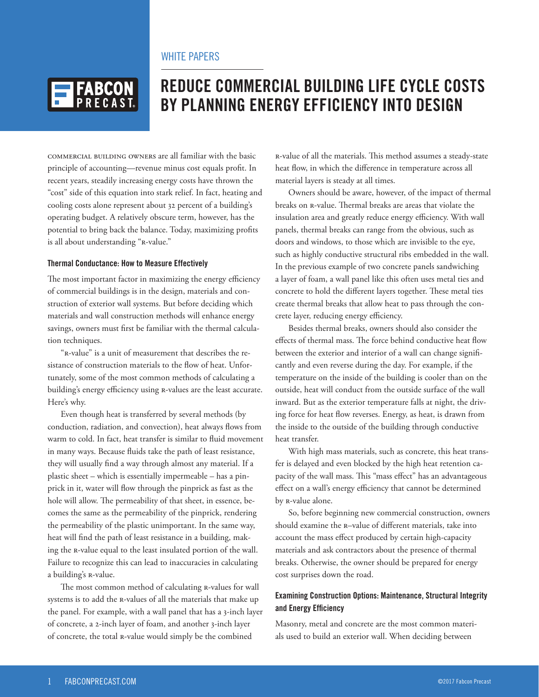

# **REDUCE COMMERCIAL BUILDING LIFE CYCLE COSTS BY PLANNING ENERGY EFFICIENCY INTO DESIGN**

Commercial building owners are all familiar with the basic principle of accounting—revenue minus cost equals profit. In recent years, steadily increasing energy costs have thrown the "cost" side of this equation into stark relief. In fact, heating and cooling costs alone represent about 32 percent of a building's operating budget. A relatively obscure term, however, has the potential to bring back the balance. Today, maximizing profits is all about understanding "R-value."

#### **Thermal Conductance: How to Measure Effectively**

The most important factor in maximizing the energy efficiency of commercial buildings is in the design, materials and construction of exterior wall systems. But before deciding which materials and wall construction methods will enhance energy savings, owners must first be familiar with the thermal calculation techniques.

"R-value" is a unit of measurement that describes the resistance of construction materials to the flow of heat. Unfortunately, some of the most common methods of calculating a building's energy efficiency using R-values are the least accurate. Here's why.

Even though heat is transferred by several methods (by conduction, radiation, and convection), heat always flows from warm to cold. In fact, heat transfer is similar to fluid movement in many ways. Because fluids take the path of least resistance, they will usually find a way through almost any material. If a plastic sheet – which is essentially impermeable – has a pinprick in it, water will flow through the pinprick as fast as the hole will allow. The permeability of that sheet, in essence, becomes the same as the permeability of the pinprick, rendering the permeability of the plastic unimportant. In the same way, heat will find the path of least resistance in a building, making the R-value equal to the least insulated portion of the wall. Failure to recognize this can lead to inaccuracies in calculating a building's R-value.

The most common method of calculating R-values for wall systems is to add the R-values of all the materials that make up the panel. For example, with a wall panel that has a 3-inch layer of concrete, a 2-inch layer of foam, and another 3-inch layer of concrete, the total R-value would simply be the combined

R-value of all the materials. This method assumes a steady-state heat flow, in which the difference in temperature across all material layers is steady at all times.

Owners should be aware, however, of the impact of thermal breaks on R-value. Thermal breaks are areas that violate the insulation area and greatly reduce energy efficiency. With wall panels, thermal breaks can range from the obvious, such as doors and windows, to those which are invisible to the eye, such as highly conductive structural ribs embedded in the wall. In the previous example of two concrete panels sandwiching a layer of foam, a wall panel like this often uses metal ties and concrete to hold the different layers together. These metal ties create thermal breaks that allow heat to pass through the concrete layer, reducing energy efficiency.

Besides thermal breaks, owners should also consider the effects of thermal mass. The force behind conductive heat flow between the exterior and interior of a wall can change significantly and even reverse during the day. For example, if the temperature on the inside of the building is cooler than on the outside, heat will conduct from the outside surface of the wall inward. But as the exterior temperature falls at night, the driving force for heat flow reverses. Energy, as heat, is drawn from the inside to the outside of the building through conductive heat transfer.

With high mass materials, such as concrete, this heat transfer is delayed and even blocked by the high heat retention capacity of the wall mass. This "mass effect" has an advantageous effect on a wall's energy efficiency that cannot be determined by R-value alone.

So, before beginning new commercial construction, owners should examine the R–value of different materials, take into account the mass effect produced by certain high-capacity materials and ask contractors about the presence of thermal breaks. Otherwise, the owner should be prepared for energy cost surprises down the road.

### **Examining Construction Options: Maintenance, Structural Integrity and Energy Efficiency**

Masonry, metal and concrete are the most common materials used to build an exterior wall. When deciding between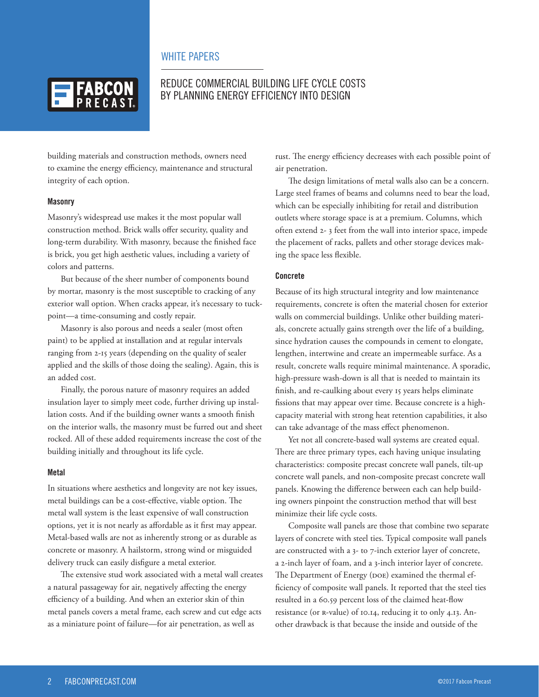

# REDUCE COMMERCIAL BUILDING LIFE CYCLE COSTS BY PLANNING ENERGY EFFICIENCY INTO DESIGN

building materials and construction methods, owners need to examine the energy efficiency, maintenance and structural integrity of each option.

#### **Masonry**

Masonry's widespread use makes it the most popular wall construction method. Brick walls offer security, quality and long-term durability. With masonry, because the finished face is brick, you get high aesthetic values, including a variety of colors and patterns.

But because of the sheer number of components bound by mortar, masonry is the most susceptible to cracking of any exterior wall option. When cracks appear, it's necessary to tuckpoint—a time-consuming and costly repair.

Masonry is also porous and needs a sealer (most often paint) to be applied at installation and at regular intervals ranging from 2-15 years (depending on the quality of sealer applied and the skills of those doing the sealing). Again, this is an added cost.

Finally, the porous nature of masonry requires an added insulation layer to simply meet code, further driving up installation costs. And if the building owner wants a smooth finish on the interior walls, the masonry must be furred out and sheet rocked. All of these added requirements increase the cost of the building initially and throughout its life cycle.

#### **Metal**

In situations where aesthetics and longevity are not key issues, metal buildings can be a cost-effective, viable option. The metal wall system is the least expensive of wall construction options, yet it is not nearly as affordable as it first may appear. Metal-based walls are not as inherently strong or as durable as concrete or masonry. A hailstorm, strong wind or misguided delivery truck can easily disfigure a metal exterior.

The extensive stud work associated with a metal wall creates a natural passageway for air, negatively affecting the energy efficiency of a building. And when an exterior skin of thin metal panels covers a metal frame, each screw and cut edge acts as a miniature point of failure—for air penetration, as well as

rust. The energy efficiency decreases with each possible point of air penetration.

The design limitations of metal walls also can be a concern. Large steel frames of beams and columns need to bear the load, which can be especially inhibiting for retail and distribution outlets where storage space is at a premium. Columns, which often extend 2- 3 feet from the wall into interior space, impede the placement of racks, pallets and other storage devices making the space less flexible.

#### **Concrete**

Because of its high structural integrity and low maintenance requirements, concrete is often the material chosen for exterior walls on commercial buildings. Unlike other building materials, concrete actually gains strength over the life of a building, since hydration causes the compounds in cement to elongate, lengthen, intertwine and create an impermeable surface. As a result, concrete walls require minimal maintenance. A sporadic, high-pressure wash-down is all that is needed to maintain its finish, and re-caulking about every 15 years helps eliminate fissions that may appear over time. Because concrete is a highcapacity material with strong heat retention capabilities, it also can take advantage of the mass effect phenomenon.

Yet not all concrete-based wall systems are created equal. There are three primary types, each having unique insulating characteristics: composite precast concrete wall panels, tilt-up concrete wall panels, and non-composite precast concrete wall panels. Knowing the difference between each can help building owners pinpoint the construction method that will best minimize their life cycle costs.

Composite wall panels are those that combine two separate layers of concrete with steel ties. Typical composite wall panels are constructed with a 3- to 7-inch exterior layer of concrete, a 2-inch layer of foam, and a 3-inch interior layer of concrete. The Department of Energy (DOE) examined the thermal efficiency of composite wall panels. It reported that the steel ties resulted in a 60.59 percent loss of the claimed heat-flow resistance (or R-value) of 10.14, reducing it to only 4.13. Another drawback is that because the inside and outside of the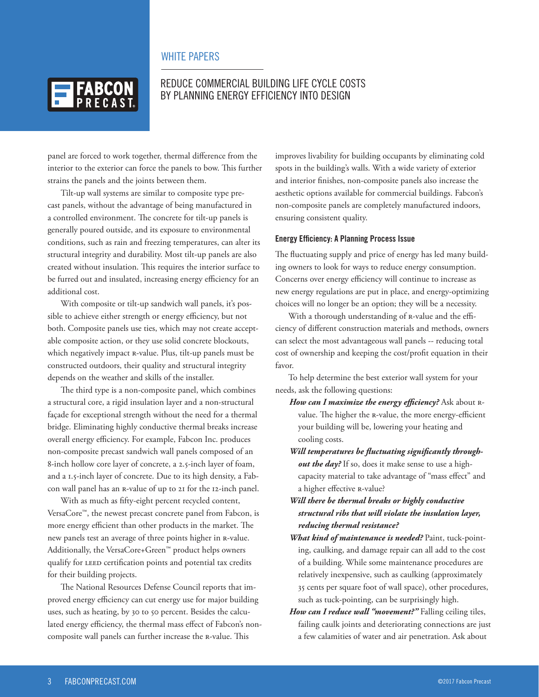

# REDUCE COMMERCIAL BUILDING LIFE CYCLE COSTS BY PLANNING ENERGY EFFICIENCY INTO DESIGN

panel are forced to work together, thermal difference from the interior to the exterior can force the panels to bow. This further strains the panels and the joints between them.

Tilt-up wall systems are similar to composite type precast panels, without the advantage of being manufactured in a controlled environment. The concrete for tilt-up panels is generally poured outside, and its exposure to environmental conditions, such as rain and freezing temperatures, can alter its structural integrity and durability. Most tilt-up panels are also created without insulation. This requires the interior surface to be furred out and insulated, increasing energy efficiency for an additional cost.

With composite or tilt-up sandwich wall panels, it's possible to achieve either strength or energy efficiency, but not both. Composite panels use ties, which may not create acceptable composite action, or they use solid concrete blockouts, which negatively impact R-value. Plus, tilt-up panels must be constructed outdoors, their quality and structural integrity depends on the weather and skills of the installer.

The third type is a non-composite panel, which combines a structural core, a rigid insulation layer and a non-structural façade for exceptional strength without the need for a thermal bridge. Eliminating highly conductive thermal breaks increase overall energy efficiency. For example, Fabcon Inc. produces non-composite precast sandwich wall panels composed of an 8-inch hollow core layer of concrete, a 2.5-inch layer of foam, and a 1.5-inch layer of concrete. Due to its high density, a Fabcon wall panel has an R-value of up to 21 for the 12-inch panel.

With as much as fifty-eight percent recycled content, VersaCore™, the newest precast concrete panel from Fabcon, is more energy efficient than other products in the market. The new panels test an average of three points higher in R-value. Additionally, the VersaCore+Green™ product helps owners qualify for LEED certification points and potential tax credits for their building projects.

The National Resources Defense Council reports that improved energy efficiency can cut energy use for major building uses, such as heating, by 30 to 50 percent. Besides the calculated energy efficiency, the thermal mass effect of Fabcon's noncomposite wall panels can further increase the R-value. This

improves livability for building occupants by eliminating cold spots in the building's walls. With a wide variety of exterior and interior finishes, non-composite panels also increase the aesthetic options available for commercial buildings. Fabcon's non-composite panels are completely manufactured indoors, ensuring consistent quality.

#### **Energy Efficiency: A Planning Process Issue**

The fluctuating supply and price of energy has led many building owners to look for ways to reduce energy consumption. Concerns over energy efficiency will continue to increase as new energy regulations are put in place, and energy-optimizing choices will no longer be an option; they will be a necessity.

With a thorough understanding of R-value and the efficiency of different construction materials and methods, owners can select the most advantageous wall panels -- reducing total cost of ownership and keeping the cost/profit equation in their favor.

To help determine the best exterior wall system for your needs, ask the following questions:

- *How can I maximize the energy efficiency?* Ask about Rvalue. The higher the R-value, the more energy-efficient your building will be, lowering your heating and cooling costs.
- *Will temperatures be fluctuating significantly throughout the day?* If so, does it make sense to use a highcapacity material to take advantage of "mass effect" and a higher effective R-value?

### *Will there be thermal breaks or highly conductive structural ribs that will violate the insulation layer, reducing thermal resistance?*

- *What kind of maintenance is needed?* Paint, tuck-pointing, caulking, and damage repair can all add to the cost of a building. While some maintenance procedures are relatively inexpensive, such as caulking (approximately 35 cents per square foot of wall space), other procedures, such as tuck-pointing, can be surprisingly high.
- *How can I reduce wall "movement?"* Falling ceiling tiles, failing caulk joints and deteriorating connections are just a few calamities of water and air penetration. Ask about